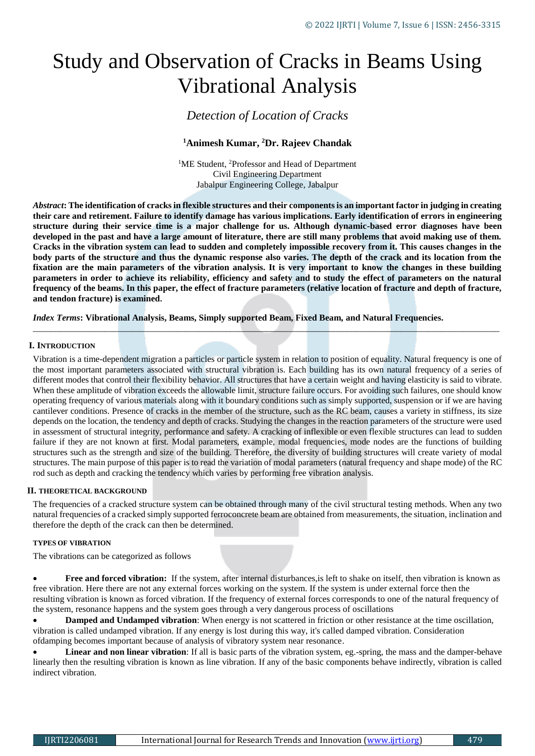# Study and Observation of Cracks in Beams Using Vibrational Analysis

# *Detection of Location of Cracks*

# **<sup>1</sup>Animesh Kumar, <sup>2</sup>Dr. Rajeev Chandak**

<sup>1</sup>ME Student, <sup>2</sup>Professor and Head of Department Civil Engineering Department Jabalpur Engineering College, Jabalpur

*Abstract***: The identification of cracks in flexible structures and their components is an important factor in judging in creating their care and retirement. Failure to identify damage has various implications. Early identification of errors in engineering structure during their service time is a major challenge for us. Although dynamic-based error diagnoses have been developed in the past and have a large amount of literature, there are still many problems that avoid making use of them. Cracks in the vibration system can lead to sudden and completely impossible recovery from it. This causes changes in the body parts of the structure and thus the dynamic response also varies. The depth of the crack and its location from the fixation are the main parameters of the vibration analysis. It is very important to know the changes in these building parameters in order to achieve its reliability, efficiency and safety and to study the effect of parameters on the natural frequency of the beams. In this paper, the effect of fracture parameters (relative location of fracture and depth of fracture, and tendon fracture) is examined.**

*\_\_\_\_\_\_\_\_\_\_\_\_\_\_\_\_\_\_\_\_\_\_\_\_\_\_\_\_\_\_\_\_\_\_\_\_\_\_\_\_\_\_\_\_\_\_\_\_\_\_\_\_\_\_\_\_\_\_\_\_\_\_\_\_\_\_\_\_\_\_\_\_\_\_\_\_\_\_\_\_\_\_\_\_\_\_\_\_\_\_\_\_\_\_\_\_\_\_\_\_\_\_\_\_*

*Index Terms***: Vibrational Analysis, Beams, Simply supported Beam, Fixed Beam, and Natural Frequencies.**

## **I. INTRODUCTION**

Vibration is a time-dependent migration a particles or particle system in relation to position of equality. Natural frequency is one of the most important parameters associated with structural vibration is. Each building has its own natural frequency of a series of different modes that control their flexibility behavior. All structures that have a certain weight and having elasticity is said to vibrate. When these amplitude of vibration exceeds the allowable limit, structure failure occurs. For avoiding such failures, one should know operating frequency of various materials along with it boundary conditions such as simply supported, suspension or if we are having cantilever conditions. Presence of cracks in the member of the structure, such as the RC beam, causes a variety in stiffness, its size depends on the location, the tendency and depth of cracks. Studying the changes in the reaction parameters of the structure were used in assessment of structural integrity, performance and safety. A cracking of inflexible or even flexible structures can lead to sudden failure if they are not known at first. Modal parameters, example, modal frequencies, mode nodes are the functions of building structures such as the strength and size of the building. Therefore, the diversity of building structures will create variety of modal structures. The main purpose of this paper is to read the variation of modal parameters (natural frequency and shape mode) of the RC rod such as depth and cracking the tendency which varies by performing free vibration analysis.

#### **II. THEORETICAL BACKGROUND**

The frequencies of a cracked structure system can be obtained through many of the civil structural testing methods. When any two natural frequencies of a cracked simply supported ferroconcrete beam are obtained from measurements, the situation, inclination and therefore the depth of the crack can then be determined.

#### **TYPES OF VIBRATION**

The vibrations can be categorized as follows

 **Free and forced vibration:** If the system, after internal disturbances,is left to shake on itself, then vibration is known as free vibration. Here there are not any external forces working on the system. If the system is under external force then the resulting vibration is known as forced vibration. If the frequency of external forces corresponds to one of the natural frequency of the system, resonance happens and the system goes through a very dangerous process of oscillations

 **Damped and Undamped vibration**: When energy is not scattered in friction or other resistance at the time oscillation, vibration is called undamped vibration. If any energy is lost during this way, it's called damped vibration. Consideration ofdamping becomes important because of analysis of vibratory system near resonance.

 **Linear and non linear vibration**: If all is basic parts of the vibration system, eg.-spring, the mass and the damper-behave linearly then the resulting vibration is known as line vibration. If any of the basic components behave indirectly, vibration is called indirect vibration.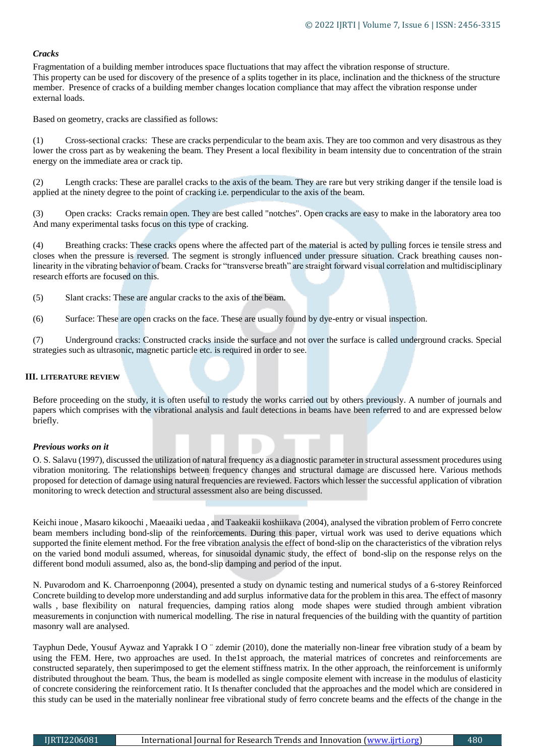# *Cracks*

Fragmentation of a building member introduces space fluctuations that may affect the vibration response of structure. This property can be used for discovery of the presence of a splits together in its place, inclination and the thickness of the structure member. Presence of cracks of a building member changes location compliance that may affect the vibration response under external loads.

Based on geometry, cracks are classified as follows:

(1) Cross-sectional cracks: These are cracks perpendicular to the beam axis. They are too common and very disastrous as they lower the cross part as by weakening the beam. They Present a local flexibility in beam intensity due to concentration of the strain energy on the immediate area or crack tip.

(2) Length cracks: These are parallel cracks to the axis of the beam. They are rare but very striking danger if the tensile load is applied at the ninety degree to the point of cracking i.e. perpendicular to the axis of the beam.

(3) Open cracks: Cracks remain open. They are best called "notches". Open cracks are easy to make in the laboratory area too And many experimental tasks focus on this type of cracking.

(4) Breathing cracks: These cracks opens where the affected part of the material is acted by pulling forces ie tensile stress and closes when the pressure is reversed. The segment is strongly influenced under pressure situation. Crack breathing causes nonlinearity in the vibrating behavior of beam. Cracks for "transverse breath" are straight forward visual correlation and multidisciplinary research efforts are focused on this.

(5) Slant cracks: These are angular cracks to the axis of the beam.

(6) Surface: These are open cracks on the face. These are usually found by dye-entry or visual inspection.

(7) Underground cracks: Constructed cracks inside the surface and not over the surface is called underground cracks. Special strategies such as ultrasonic, magnetic particle etc. is required in order to see.

# **III. LITERATURE REVIEW**

Before proceeding on the study, it is often useful to restudy the works carried out by others previously. A number of journals and papers which comprises with the vibrational analysis and fault detections in beams have been referred to and are expressed below briefly.

#### *Previous works on it*

O. S. Salavu (1997), discussed the utilization of natural frequency as a diagnostic parameter in structural assessment procedures using vibration monitoring. The relationships between frequency changes and structural damage are discussed here. Various methods proposed for detection of damage using natural frequencies are reviewed. Factors which lesser the successful application of vibration monitoring to wreck detection and structural assessment also are being discussed.

Keichi inoue , Masaro kikoochi , Maeaaiki uedaa , and Taakeakii koshiikava (2004), analysed the vibration problem of Ferro concrete beam members including bond-slip of the reinforcements. During this paper, virtual work was used to derive equations which supported the finite element method. For the free vibration analysis the effect of bond-slip on the characteristics of the vibration relys on the varied bond moduli assumed, whereas, for sinusoidal dynamic study, the effect of bond-slip on the response relys on the different bond moduli assumed, also as, the bond-slip damping and period of the input.

N. Puvarodom and K. Charroenponng (2004), presented a study on dynamic testing and numerical studys of a 6-storey Reinforced Concrete building to develop more understanding and add surplus informative data for the problem in this area. The effect of masonry walls, base flexibility on natural frequencies, damping ratios along mode shapes were studied through ambient vibration measurements in conjunction with numerical modelling. The rise in natural frequencies of the building with the quantity of partition masonry wall are analysed.

Tayphun Dede, Yousuf Aywaz and Yaprakk I O ¨ zdemir (2010), done the materially non-linear free vibration study of a beam by using the FEM. Here, two approaches are used. In the1st approach, the material matrices of concretes and reinforcements are constructed separately, then superimposed to get the element stiffness matrix. In the other approach, the reinforcement is uniformly distributed throughout the beam. Thus, the beam is modelled as single composite element with increase in the modulus of elasticity of concrete considering the reinforcement ratio. It Is thenafter concluded that the approaches and the model which are considered in this study can be used in the materially nonlinear free vibrational study of ferro concrete beams and the effects of the change in the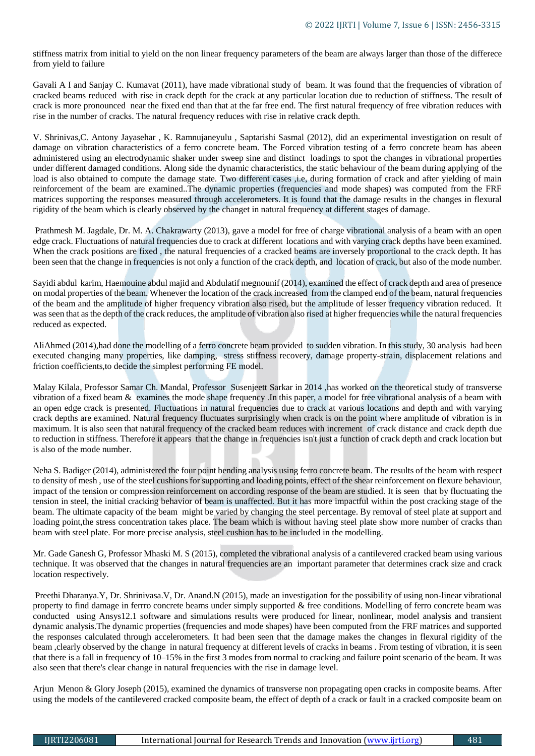stiffness matrix from initial to yield on the non linear frequency parameters of the beam are always larger than those of the differece from yield to failure

Gavali A I and Sanjay C. Kumavat (2011), have made vibrational study of beam. It was found that the frequencies of vibration of cracked beams reduced with rise in crack depth for the crack at any particular location due to reduction of stiffness. The result of crack is more pronounced near the fixed end than that at the far free end. The first natural frequency of free vibration reduces with rise in the number of cracks. The natural frequency reduces with rise in relative crack depth.

V. Shrinivas,C. Antony Jayasehar , K. Ramnujaneyulu , Saptarishi Sasmal (2012), did an experimental investigation on result of damage on vibration characteristics of a ferro concrete beam. The Forced vibration testing of a ferro concrete beam has abeen administered using an electrodynamic shaker under sweep sine and distinct loadings to spot the changes in vibrational properties under different damaged conditions. Along side the dynamic characteristics, the static behaviour of the beam during applying of the load is also obtained to compute the damage state. Two different cases ,i.e, during formation of crack and after yielding of main reinforcement of the beam are examined..The dynamic properties (frequencies and mode shapes) was computed from the FRF matrices supporting the responses measured through accelerometers. It is found that the damage results in the changes in flexural rigidity of the beam which is clearly observed by the changet in natural frequency at different stages of damage.

Prathmesh M. Jagdale, Dr. M. A. Chakrawarty (2013), gave a model for free of charge vibrational analysis of a beam with an open edge crack. Fluctuations of natural frequencies due to crack at different locations and with varying crack depths have been examined. When the crack positions are fixed, the natural frequencies of a cracked beams are inversely proportional to the crack depth. It has been seen that the change in frequencies is not only a function of the crack depth, and location of crack, but also of the mode number.

Sayidi abdul karim, Haemouine abdul majid and Abdulatif megnounif (2014), examined the effect of crack depth and area of presence on modal properties of the beam. Whenever the location of the crack increased from the clamped end of the beam, natural frequencies of the beam and the amplitude of higher frequency vibration also rised, but the amplitude of lesser frequency vibration reduced. It was seen that as the depth of the crack reduces, the amplitude of vibration also rised at higher frequencies while the natural frequencies reduced as expected.

AliAhmed (2014),had done the modelling of a ferro concrete beam provided to sudden vibration. In this study, 30 analysis had been executed changing many properties, like damping, stress stiffness recovery, damage property-strain, displacement relations and friction coefficients,to decide the simplest performing FE model.

Malay Kilala, Professor Samar Ch. Mandal, Professor Susenjeett Sarkar in 2014 ,has worked on the theoretical study of transverse vibration of a fixed beam & examines the mode shape frequency .In this paper, a model for free vibrational analysis of a beam with an open edge crack is presented. Fluctuations in natural frequencies due to crack at various locations and depth and with varying crack depths are examined. Natural frequency fluctuates surprisingly when crack is on the point where amplitude of vibration is in maximum. It is also seen that natural frequency of the cracked beam reduces with increment of crack distance and crack depth due to reduction in stiffness. Therefore it appears that the change in frequencies isn't just a function of crack depth and crack location but is also of the mode number.

Neha S. Badiger (2014), administered the four point bending analysis using ferro concrete beam. The results of the beam with respect to density of mesh , use of the steel cushions for supporting and loading points, effect of the shear reinforcement on flexure behaviour, impact of the tension or compression reinforcement on according response of the beam are studied. It is seen that by fluctuating the tension in steel, the initial cracking behavior of beam is unaffected. But it has more impactful within the post cracking stage of the beam. The ultimate capacity of the beam might be varied by changing the steel percentage. By removal of steel plate at support and loading point, the stress concentration takes place. The beam which is without having steel plate show more number of cracks than beam with steel plate. For more precise analysis, steel cushion has to be included in the modelling.

Mr. Gade Ganesh G, Professor Mhaski M. S (2015), completed the vibrational analysis of a cantilevered cracked beam using various technique. It was observed that the changes in natural frequencies are an important parameter that determines crack size and crack location respectively.

Preethi Dharanya.Y, Dr. Shrinivasa.V, Dr. Anand.N (2015), made an investigation for the possibility of using non-linear vibrational property to find damage in ferrro concrete beams under simply supported & free conditions. Modelling of ferro concrete beam was conducted using Ansys12.1 software and simulations results were produced for linear, nonlinear, model analysis and transient dynamic analysis.The dynamic properties (frequencies and mode shapes) have been computed from the FRF matrices and supported the responses calculated through accelerometers. It had been seen that the damage makes the changes in flexural rigidity of the beam ,clearly observed by the change in natural frequency at different levels of cracks in beams . From testing of vibration, it is seen that there is a fall in frequency of 10–15% in the first 3 modes from normal to cracking and failure point scenario of the beam. It was also seen that there's clear change in natural frequencies with the rise in damage level.

Arjun Menon & Glory Joseph (2015), examined the dynamics of transverse non propagating open cracks in composite beams. After using the models of the cantilevered cracked composite beam, the effect of depth of a crack or fault in a cracked composite beam on